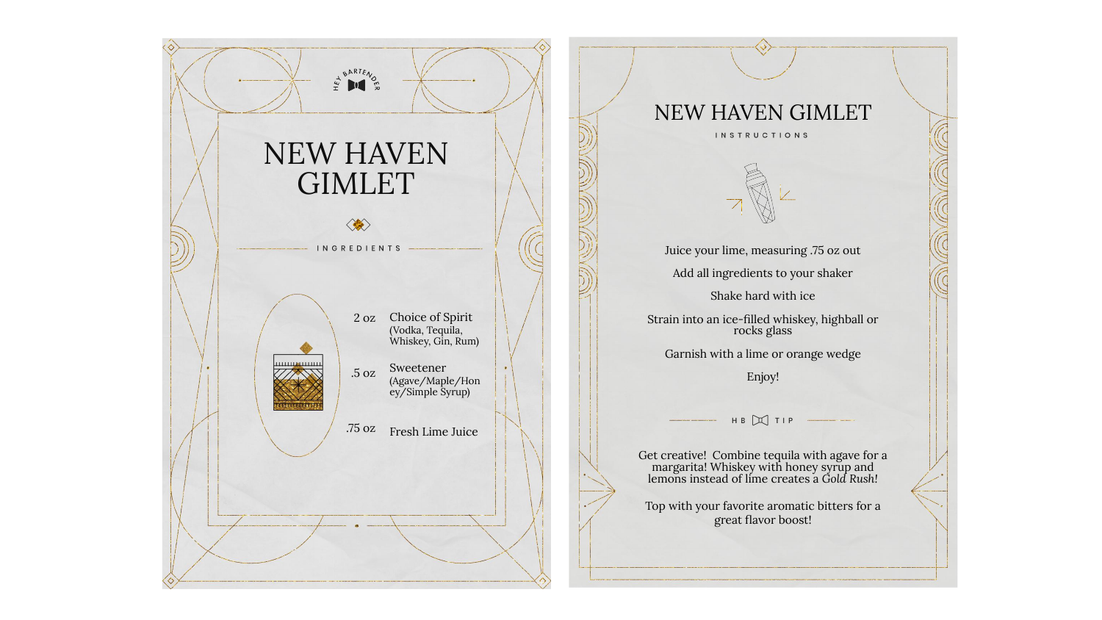

## NEW HAVEN GIMLET **INSTRUCTIONS**



Juice your lime, measuring .75 oz out Add all ingredients to your shaker Shake hard with ice Strain into an ice-filled whiskey, highball or rocks glass

Garnish with a lime or orange wedge

Enjoy!

HB X TIP

Get creative! Combine tequila with agave for a margarita! Whiskey with honey syrup and lemons instead of lime creates a *Gold Rush!*

Top with your favorite aromatic bitters for a great flavor boost!